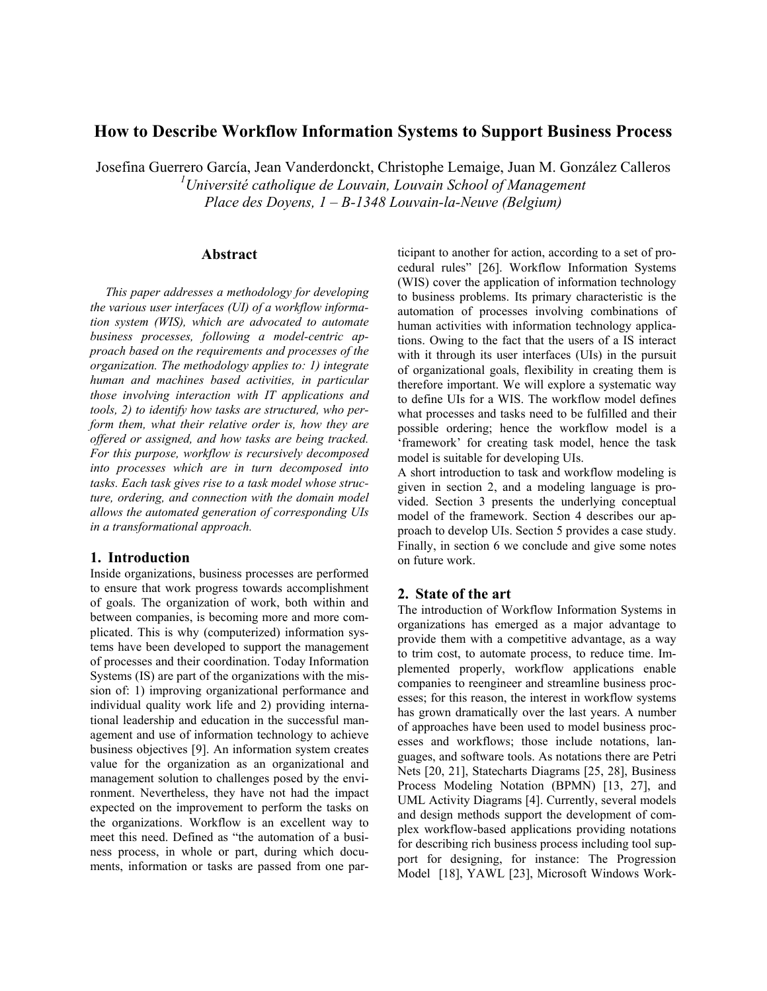# **How to Describe Workflow Information Systems to Support Business Process**

Josefina Guerrero García, Jean Vanderdonckt, Christophe Lemaige, Juan M. González Calleros *1 Université catholique de Louvain, Louvain School of Management Place des Doyens, 1 – B-1348 Louvain-la-Neuve (Belgium)* 

**Abstract** 

*This paper addresses a methodology for developing the various user interfaces (UI) of a workflow information system (WIS), which are advocated to automate business processes, following a model-centric approach based on the requirements and processes of the organization. The methodology applies to: 1) integrate human and machines based activities, in particular those involving interaction with IT applications and tools, 2) to identify how tasks are structured, who perform them, what their relative order is, how they are offered or assigned, and how tasks are being tracked. For this purpose, workflow is recursively decomposed into processes which are in turn decomposed into tasks. Each task gives rise to a task model whose structure, ordering, and connection with the domain model allows the automated generation of corresponding UIs in a transformational approach.* 

#### **1. Introduction**

Inside organizations, business processes are performed to ensure that work progress towards accomplishment of goals. The organization of work, both within and between companies, is becoming more and more complicated. This is why (computerized) information systems have been developed to support the management of processes and their coordination. Today Information Systems (IS) are part of the organizations with the mission of: 1) improving organizational performance and individual quality work life and 2) providing international leadership and education in the successful management and use of information technology to achieve business objectives [9]. An information system creates value for the organization as an organizational and management solution to challenges posed by the environment. Nevertheless, they have not had the impact expected on the improvement to perform the tasks on the organizations. Workflow is an excellent way to meet this need. Defined as "the automation of a business process, in whole or part, during which documents, information or tasks are passed from one participant to another for action, according to a set of procedural rules" [26]. Workflow Information Systems (WIS) cover the application of information technology to business problems. Its primary characteristic is the automation of processes involving combinations of human activities with information technology applications. Owing to the fact that the users of a IS interact with it through its user interfaces (UIs) in the pursuit of organizational goals, flexibility in creating them is therefore important. We will explore a systematic way to define UIs for a WIS. The workflow model defines what processes and tasks need to be fulfilled and their possible ordering; hence the workflow model is a 'framework' for creating task model, hence the task model is suitable for developing UIs.

A short introduction to task and workflow modeling is given in section 2, and a modeling language is provided. Section 3 presents the underlying conceptual model of the framework. Section 4 describes our approach to develop UIs. Section 5 provides a case study. Finally, in section 6 we conclude and give some notes on future work.

### **2. State of the art**

The introduction of Workflow Information Systems in organizations has emerged as a major advantage to provide them with a competitive advantage, as a way to trim cost, to automate process, to reduce time. Implemented properly, workflow applications enable companies to reengineer and streamline business processes; for this reason, the interest in workflow systems has grown dramatically over the last years. A number of approaches have been used to model business processes and workflows; those include notations, languages, and software tools. As notations there are Petri Nets [20, 21], Statecharts Diagrams [25, 28], Business Process Modeling Notation (BPMN) [13, 27], and UML Activity Diagrams [4]. Currently, several models and design methods support the development of complex workflow-based applications providing notations for describing rich business process including tool support for designing, for instance: The Progression Model [18], YAWL [23], Microsoft Windows Work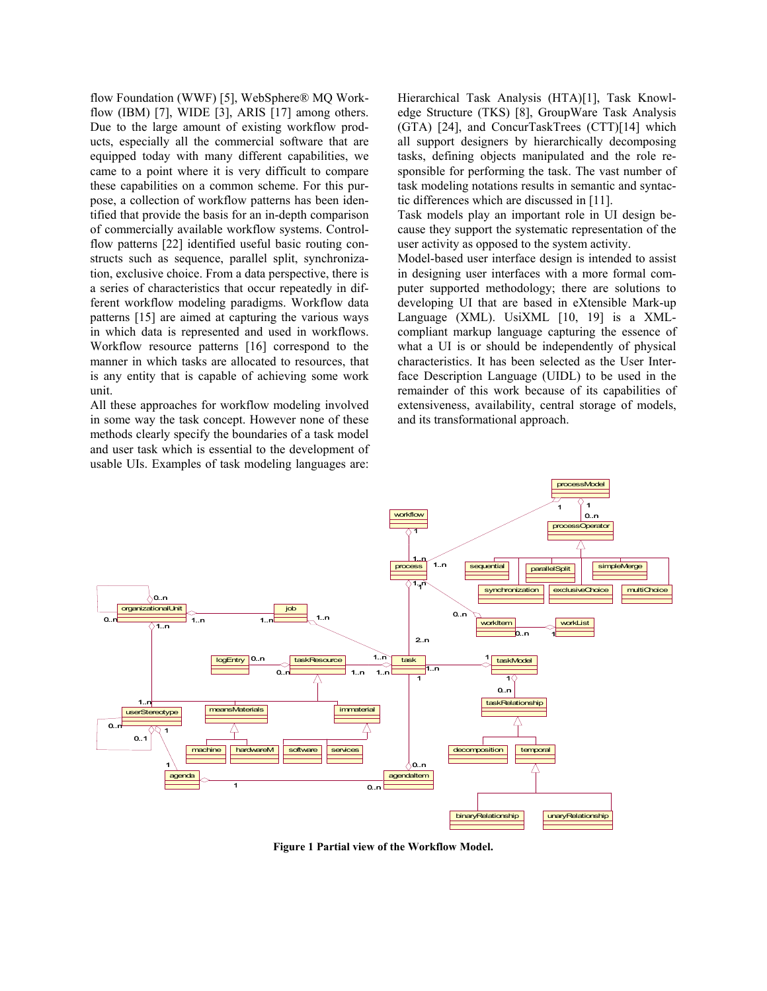flow Foundation (WWF) [5], WebSphere® MQ Workflow (IBM) [7], WIDE [3], ARIS [17] among others. Due to the large amount of existing workflow products, especially all the commercial software that are equipped today with many different capabilities, we came to a point where it is very difficult to compare these capabilities on a common scheme. For this purpose, a collection of workflow patterns has been identified that provide the basis for an in-depth comparison of commercially available workflow systems. Controlflow patterns [22] identified useful basic routing constructs such as sequence, parallel split, synchronization, exclusive choice. From a data perspective, there is a series of characteristics that occur repeatedly in different workflow modeling paradigms. Workflow data patterns [15] are aimed at capturing the various ways in which data is represented and used in workflows. Workflow resource patterns [16] correspond to the manner in which tasks are allocated to resources, that is any entity that is capable of achieving some work unit.

All these approaches for workflow modeling involved in some way the task concept. However none of these methods clearly specify the boundaries of a task model and user task which is essential to the development of usable UIs. Examples of task modeling languages are:

Hierarchical Task Analysis (HTA)[1], Task Knowledge Structure (TKS) [8], GroupWare Task Analysis (GTA) [24], and ConcurTaskTrees (CTT)[14] which all support designers by hierarchically decomposing tasks, defining objects manipulated and the role responsible for performing the task. The vast number of task modeling notations results in semantic and syntactic differences which are discussed in [11].

Task models play an important role in UI design because they support the systematic representation of the user activity as opposed to the system activity.

Model-based user interface design is intended to assist in designing user interfaces with a more formal computer supported methodology; there are solutions to developing UI that are based in eXtensible Mark-up Language (XML). UsiXML [10, 19] is a XMLcompliant markup language capturing the essence of what a UI is or should be independently of physical characteristics. It has been selected as the User Interface Description Language (UIDL) to be used in the remainder of this work because of its capabilities of extensiveness, availability, central storage of models, and its transformational approach.



**Figure 1 Partial view of the Workflow Model.**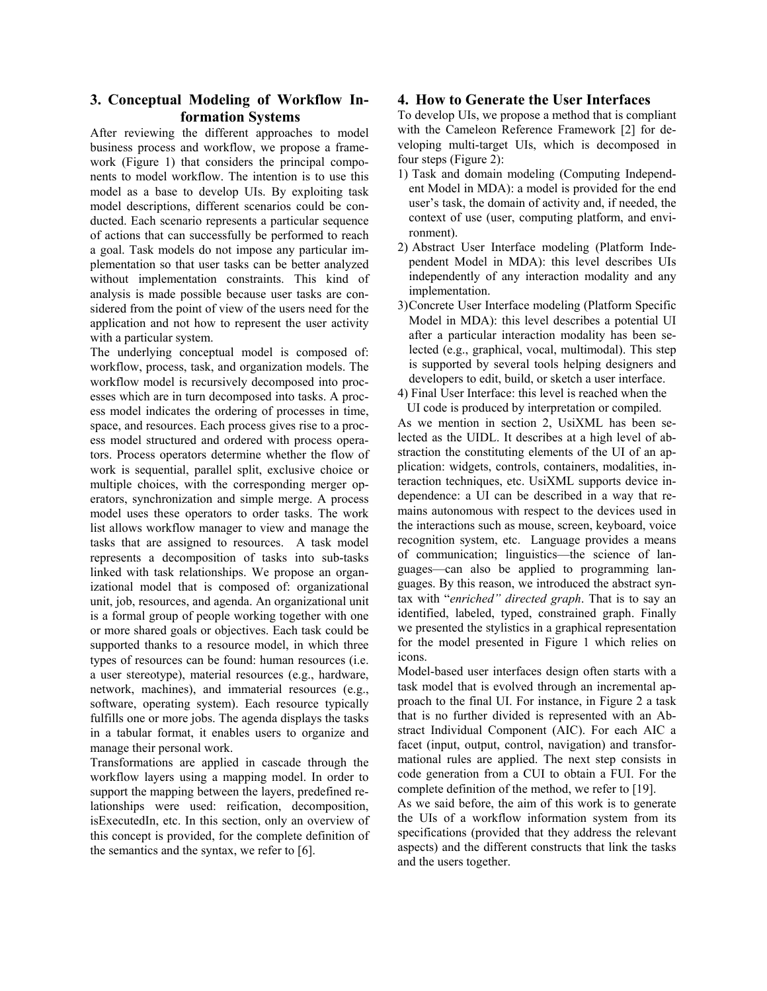# **3. Conceptual Modeling of Workflow Information Systems**

After reviewing the different approaches to model business process and workflow, we propose a framework (Figure 1) that considers the principal components to model workflow. The intention is to use this model as a base to develop UIs. By exploiting task model descriptions, different scenarios could be conducted. Each scenario represents a particular sequence of actions that can successfully be performed to reach a goal. Task models do not impose any particular implementation so that user tasks can be better analyzed without implementation constraints. This kind of analysis is made possible because user tasks are considered from the point of view of the users need for the application and not how to represent the user activity with a particular system.

The underlying conceptual model is composed of: workflow, process, task, and organization models. The workflow model is recursively decomposed into processes which are in turn decomposed into tasks. A process model indicates the ordering of processes in time, space, and resources. Each process gives rise to a process model structured and ordered with process operators. Process operators determine whether the flow of work is sequential, parallel split, exclusive choice or multiple choices, with the corresponding merger operators, synchronization and simple merge. A process model uses these operators to order tasks. The work list allows workflow manager to view and manage the tasks that are assigned to resources. A task model represents a decomposition of tasks into sub-tasks linked with task relationships. We propose an organizational model that is composed of: organizational unit, job, resources, and agenda. An organizational unit is a formal group of people working together with one or more shared goals or objectives. Each task could be supported thanks to a resource model, in which three types of resources can be found: human resources (i.e. a user stereotype), material resources (e.g., hardware, network, machines), and immaterial resources (e.g., software, operating system). Each resource typically fulfills one or more jobs. The agenda displays the tasks in a tabular format, it enables users to organize and manage their personal work.

Transformations are applied in cascade through the workflow layers using a mapping model. In order to support the mapping between the layers, predefined relationships were used: reification, decomposition, isExecutedIn, etc. In this section, only an overview of this concept is provided, for the complete definition of the semantics and the syntax, we refer to [6].

### **4. How to Generate the User Interfaces**

To develop UIs, we propose a method that is compliant with the Cameleon Reference Framework [2] for developing multi-target UIs, which is decomposed in four steps (Figure 2):

- 1) Task and domain modeling (Computing Independent Model in MDA): a model is provided for the end user's task, the domain of activity and, if needed, the context of use (user, computing platform, and environment).
- 2) Abstract User Interface modeling (Platform Independent Model in MDA): this level describes UIs independently of any interaction modality and any implementation.
- 3) Concrete User Interface modeling (Platform Specific Model in MDA): this level describes a potential UI after a particular interaction modality has been selected (e.g., graphical, vocal, multimodal). This step is supported by several tools helping designers and developers to edit, build, or sketch a user interface.
- 4) Final User Interface: this level is reached when the UI code is produced by interpretation or compiled.

As we mention in section 2, UsiXML has been selected as the UIDL. It describes at a high level of abstraction the constituting elements of the UI of an application: widgets, controls, containers, modalities, interaction techniques, etc. UsiXML supports device independence: a UI can be described in a way that remains autonomous with respect to the devices used in the interactions such as mouse, screen, keyboard, voice recognition system, etc. Language provides a means of communication; linguistics—the science of languages—can also be applied to programming languages. By this reason, we introduced the abstract syntax with "*enriched" directed graph*. That is to say an identified, labeled, typed, constrained graph. Finally we presented the stylistics in a graphical representation for the model presented in Figure 1 which relies on icons.

Model-based user interfaces design often starts with a task model that is evolved through an incremental approach to the final UI. For instance, in Figure 2 a task that is no further divided is represented with an Abstract Individual Component (AIC). For each AIC a facet (input, output, control, navigation) and transformational rules are applied. The next step consists in code generation from a CUI to obtain a FUI. For the complete definition of the method, we refer to [19].

As we said before, the aim of this work is to generate the UIs of a workflow information system from its specifications (provided that they address the relevant aspects) and the different constructs that link the tasks and the users together.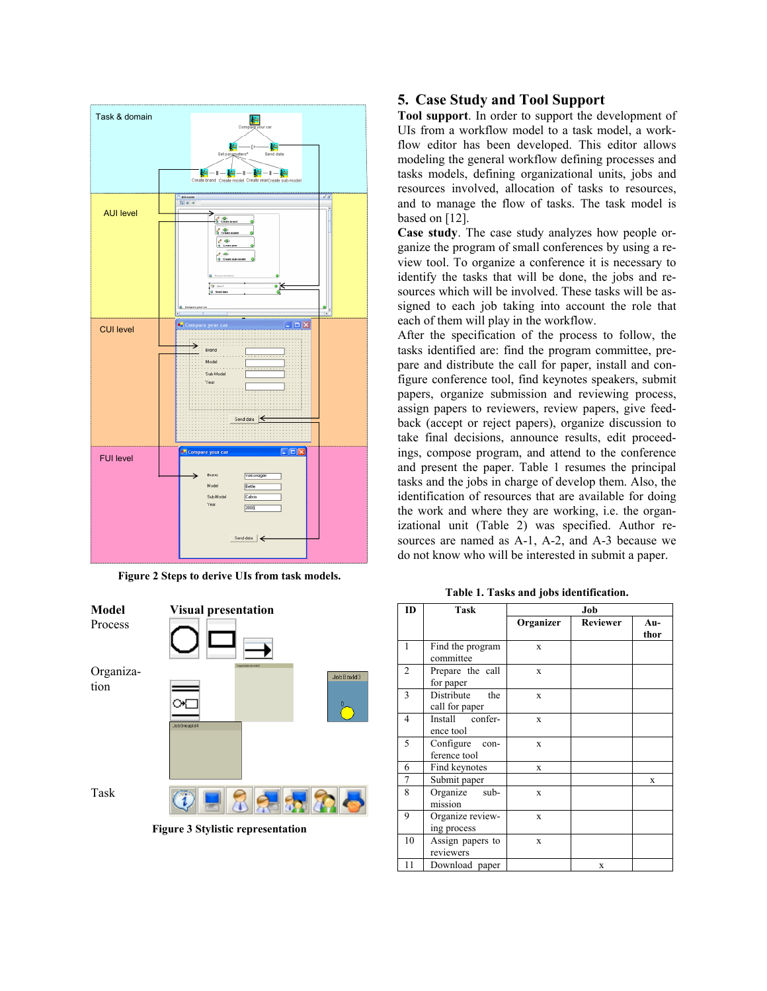





**Figure 3 Stylistic representation** 

## **5. Case Study and Tool Support**

**Tool support**. In order to support the development of UIs from a workflow model to a task model, a workflow editor has been developed. This editor allows modeling the general workflow defining processes and tasks models, defining organizational units, jobs and resources involved, allocation of tasks to resources, and to manage the flow of tasks. The task model is based on [12].

**Case study**. The case study analyzes how people organize the program of small conferences by using a review tool. To organize a conference it is necessary to identify the tasks that will be done, the jobs and resources which will be involved. These tasks will be assigned to each job taking into account the role that each of them will play in the workflow.

After the specification of the process to follow, the tasks identified are: find the program committee, prepare and distribute the call for paper, install and configure conference tool, find keynotes speakers, submit papers, organize submission and reviewing process, assign papers to reviewers, review papers, give feedback (accept or reject papers), organize discussion to take final decisions, announce results, edit proceedings, compose program, and attend to the conference and present the paper. Table 1 resumes the principal tasks and the jobs in charge of develop them. Also, the identification of resources that are available for doing the work and where they are working, i.e. the organizational unit (Table 2) was specified. Author resources are named as A-1, A-2, and A-3 because we do not know who will be interested in submit a paper.

**Table 1. Tasks and jobs identification.** 

| ID             | Task<br>Job                         |             |                 |             |
|----------------|-------------------------------------|-------------|-----------------|-------------|
|                |                                     | Organizer   | <b>Reviewer</b> | Au-<br>thor |
| 1              | Find the program<br>committee       | $\mathbf x$ |                 |             |
| $\overline{2}$ | Prepare the call<br>for paper       | X           |                 |             |
| 3              | Distribute<br>the<br>call for paper | X           |                 |             |
| 4              | Install confer-<br>ence tool        | X           |                 |             |
| 5              | Configure<br>con-<br>ference tool   | X           |                 |             |
| 6              | Find keynotes                       | $\mathbf x$ |                 |             |
| $\tau$         | Submit paper                        |             |                 | X           |
| 8              | Organize<br>sub-<br>mission         | X           |                 |             |
| 9              | Organize review-<br>ing process     | X           |                 |             |
| 10             | Assign papers to<br>reviewers       | X           |                 |             |
| 11             | Download paper                      |             | X               |             |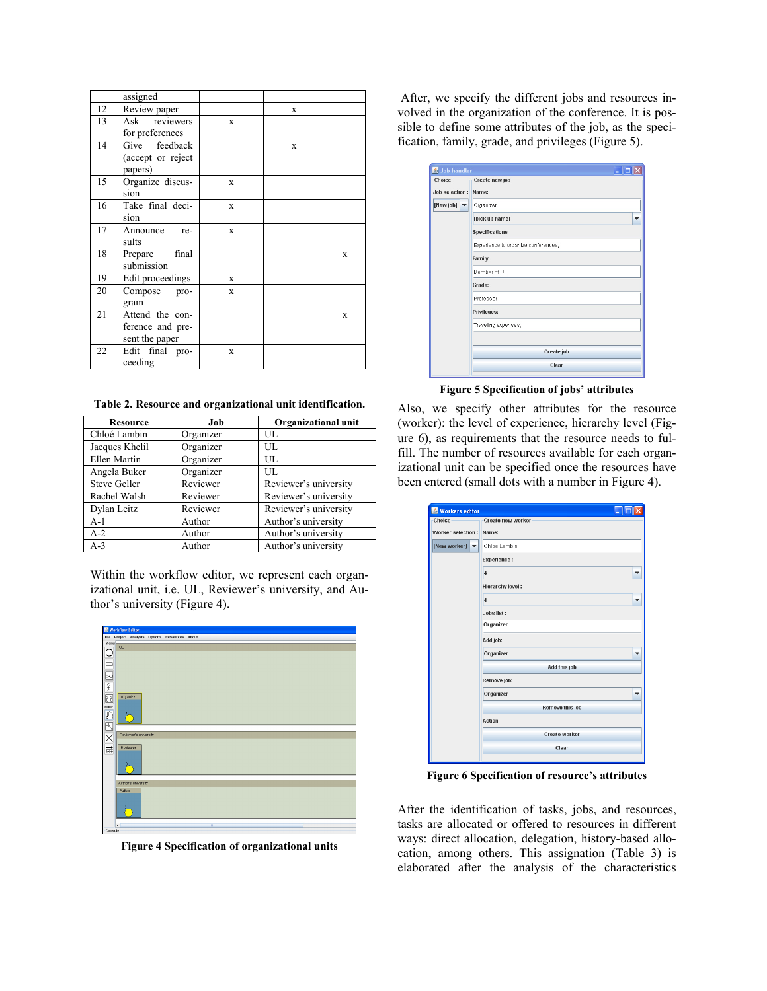|    | assigned                                              |   |   |   |
|----|-------------------------------------------------------|---|---|---|
| 12 | Review paper                                          |   | X |   |
| 13 | Ask reviewers<br>for preferences                      | X |   |   |
| 14 | Give feedback<br>(accept or reject<br>papers)         |   | X |   |
| 15 | Organize discus-<br>sion                              | X |   |   |
| 16 | Take final deci-<br>sion                              | X |   |   |
| 17 | Announce<br>re-<br>sults                              | X |   |   |
| 18 | final<br>Prepare<br>submission                        |   |   | X |
| 19 | Edit proceedings                                      | X |   |   |
| 20 | Compose pro-<br>gram                                  | X |   |   |
| 21 | Attend the con-<br>ference and pre-<br>sent the paper |   |   | X |
| 22 | Edit final pro-<br>ceeding                            | X |   |   |

**Table 2. Resource and organizational unit identification.** 

| <b>Resource</b> | Job       | <b>Organizational unit</b> |
|-----------------|-----------|----------------------------|
| Chloé Lambin    | Organizer | UL                         |
| Jacques Khelil  | Organizer | UЦ.                        |
| Ellen Martin    | Organizer | UL                         |
| Angela Buker    | Organizer | UЦ.                        |
| Steve Geller    | Reviewer  | Reviewer's university      |
| Rachel Walsh    | Reviewer  | Reviewer's university      |
| Dylan Leitz     | Reviewer  | Reviewer's university      |
| $A-1$           | Author    | Author's university        |
| $A-2$           | Author    | Author's university        |
| $A-3$           | Author    | Author's university        |

Within the workflow editor, we represent each organizational unit, i.e. UL, Reviewer's university, and Author's university (Figure 4).



**Figure 4 Specification of organizational units** 

 After, we specify the different jobs and resources involved in the organization of the conference. It is possible to define some attributes of the job, as the specification, family, grade, and privileges (Figure 5).

| Job handler                           | $\overline{\phantom{a}}$ . $\overline{\phantom{a}}$ |  |  |
|---------------------------------------|-----------------------------------------------------|--|--|
| Choice                                | Create new job                                      |  |  |
| Job selection: Name:                  |                                                     |  |  |
| [New job]<br>$\overline{\phantom{a}}$ | Organizer                                           |  |  |
|                                       | [pick up name]                                      |  |  |
|                                       | <b>Specifications:</b>                              |  |  |
|                                       | Experience to organize conferences,                 |  |  |
|                                       | Family:                                             |  |  |
|                                       | Member of UL                                        |  |  |
|                                       | Grade:                                              |  |  |
|                                       | Professor                                           |  |  |
|                                       | Privileges:                                         |  |  |
|                                       | Traveling expenses,                                 |  |  |
|                                       |                                                     |  |  |
|                                       | Create job                                          |  |  |
|                                       | Clear                                               |  |  |

**Figure 5 Specification of jobs' attributes** 

Also, we specify other attributes for the resource (worker): the level of experience, hierarchy level (Figure 6), as requirements that the resource needs to fulfill. The number of resources available for each organizational unit can be specified once the resources have been entered (small dots with a number in Figure 4).

| <b>Workers editor</b> | أتراك                |  |  |
|-----------------------|----------------------|--|--|
| hoice                 | Create new worker    |  |  |
| orker selection:      | Name:                |  |  |
| lew worker]           | Chloé Lambin         |  |  |
|                       | <b>Experience:</b>   |  |  |
|                       | 4                    |  |  |
|                       | Hierarchy level:     |  |  |
|                       | 4                    |  |  |
|                       | Jobs list:           |  |  |
|                       | Organizer            |  |  |
|                       | Add job:             |  |  |
|                       | Organizer            |  |  |
|                       | <b>Add this job</b>  |  |  |
|                       | Remove job:          |  |  |
|                       | Organizer            |  |  |
|                       | Remove this job      |  |  |
|                       | Action:              |  |  |
|                       | <b>Create worker</b> |  |  |
|                       | Clear                |  |  |
|                       |                      |  |  |

**Figure 6 Specification of resource's attributes** 

After the identification of tasks, jobs, and resources, tasks are allocated or offered to resources in different ways: direct allocation, delegation, history-based allocation, among others. This assignation (Table 3) is elaborated after the analysis of the characteristics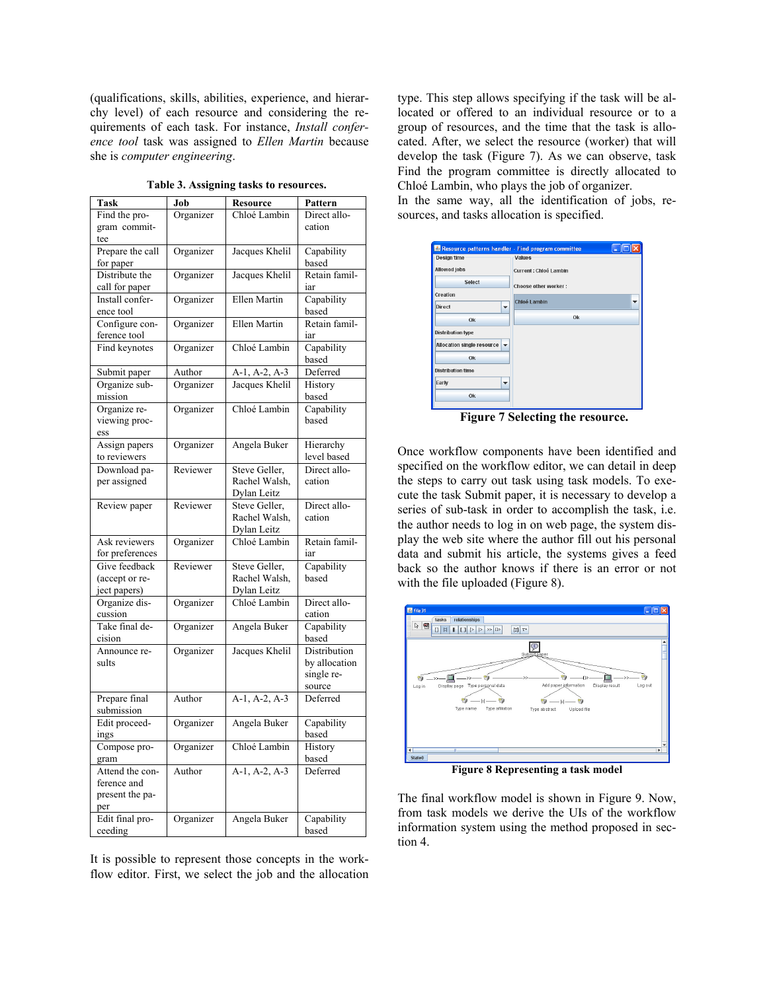(qualifications, skills, abilities, experience, and hierarchy level) of each resource and considering the requirements of each task. For instance, *Install conference tool* task was assigned to *Ellen Martin* because she is *computer engineering*.

| Task             | Job       | <b>Resource</b> | Pattern       |
|------------------|-----------|-----------------|---------------|
| Find the pro-    | Organizer | Chloé Lambin    | Direct allo-  |
| gram commit-     |           |                 | cation        |
| tee              |           |                 |               |
| Prepare the call | Organizer | Jacques Khelil  | Capability    |
| for paper        |           |                 | based         |
| Distribute the   | Organizer | Jacques Khelil  | Retain famil- |
| call for paper   |           |                 | iar           |
| Install confer-  | Organizer | Ellen Martin    | Capability    |
| ence tool        |           |                 | based         |
| Configure con-   | Organizer | Ellen Martin    | Retain famil- |
| ference tool     |           |                 | iar           |
| Find keynotes    | Organizer | Chloé Lambin    | Capability    |
|                  |           |                 | based         |
| Submit paper     | Author    | $A-1, A-2, A-3$ | Deferred      |
| Organize sub-    | Organizer | Jacques Khelil  | History       |
| mission          |           |                 | based         |
| Organize re-     | Organizer | Chloé Lambin    | Capability    |
| viewing proc-    |           |                 | based         |
| ess              |           |                 |               |
| Assign papers    | Organizer | Angela Buker    | Hierarchy     |
| to reviewers     |           |                 | level based   |
| Download pa-     | Reviewer  | Steve Geller,   | Direct allo-  |
| per assigned     |           | Rachel Walsh,   | cation        |
|                  |           | Dylan Leitz     |               |
| Review paper     | Reviewer  | Steve Geller,   | Direct allo-  |
|                  |           | Rachel Walsh,   | cation        |
|                  |           | Dylan Leitz     |               |
| Ask reviewers    | Organizer | Chloé Lambin    | Retain famil- |
| for preferences  |           |                 | iar           |
| Give feedback    | Reviewer  | Steve Geller,   | Capability    |
| (accept or re-   |           | Rachel Walsh,   | based         |
| ject papers)     |           | Dylan Leitz     |               |
| Organize dis-    | Organizer | Chloé Lambin    | Direct allo-  |
| cussion          |           |                 | cation        |
| Take final de-   | Organizer | Angela Buker    | Capability    |
| cision           |           |                 | based         |
| Announce re-     | Organizer | Jacques Khelil  | Distribution  |
| sults            |           |                 | by allocation |
|                  |           |                 | single re-    |
|                  |           |                 | source        |
| Prepare final    | Author    | $A-1, A-2, A-3$ | Deferred      |
| submission       |           |                 |               |
| Edit proceed-    | Organizer | Angela Buker    | Capability    |
| ings             |           |                 | based         |
| Compose pro-     | Organizer | Chloé Lambin    | History       |
| gram             |           |                 | based         |
| Attend the con-  | Author    | $A-1, A-2, A-3$ | Deferred      |
| ference and      |           |                 |               |
| present the pa-  |           |                 |               |
| per              |           |                 |               |
| Edit final pro-  | Organizer | Angela Buker    | Capability    |
| ceeding          |           |                 | based         |

**Table 3. Assigning tasks to resources.** 

It is possible to represent those concepts in the workflow editor. First, we select the job and the allocation

type. This step allows specifying if the task will be allocated or offered to an individual resource or to a group of resources, and the time that the task is allocated. After, we select the resource (worker) that will develop the task (Figure 7). As we can observe, task Find the program committee is directly allocated to Chloé Lambin, who plays the job of organizer.

In the same way, all the identification of jobs, resources, and tasks allocation is specified.

| Resource patterns handler - Find program committee     |                        |  |  |  |
|--------------------------------------------------------|------------------------|--|--|--|
| <b>Design time</b>                                     | <b>Values</b>          |  |  |  |
| <b>Allowed jobs</b>                                    | Current : Chloé Lambin |  |  |  |
| <b>Select</b>                                          | Choose other worker:   |  |  |  |
| Creation                                               |                        |  |  |  |
| <b>Direct</b><br>$\overline{\phantom{a}}$              | Chloé Lambin           |  |  |  |
| Ok                                                     | Ok                     |  |  |  |
| <b>Distribution type</b>                               |                        |  |  |  |
| Allocation single resource<br>$\overline{\phantom{a}}$ |                        |  |  |  |
| Ok                                                     |                        |  |  |  |
| <b>Distribution time</b>                               |                        |  |  |  |
| Early                                                  |                        |  |  |  |
| Ok                                                     |                        |  |  |  |
|                                                        |                        |  |  |  |

**Figure 7 Selecting the resource.** 

Once workflow components have been identified and specified on the workflow editor, we can detail in deep the steps to carry out task using task models. To execute the task Submit paper, it is necessary to develop a series of sub-task in order to accomplish the task, i.e. the author needs to log in on web page, the system display the web site where the author fill out his personal data and submit his article, the systems gives a feed back so the author knows if there is an error or not with the file uploaded (Figure 8).



**Figure 8 Representing a task model**

The final workflow model is shown in Figure 9. Now, from task models we derive the UIs of the workflow information system using the method proposed in section 4.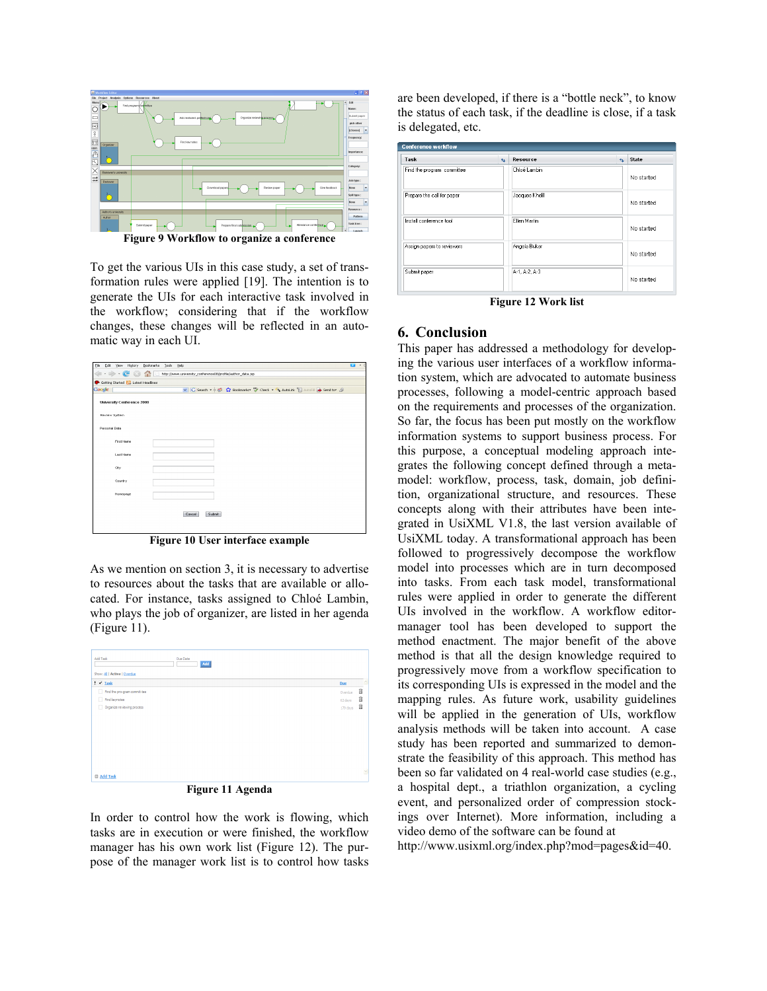

**Figure 9 Workflow to organize a conference**

To get the various UIs in this case study, a set of transformation rules were applied [19]. The intention is to generate the UIs for each interactive task involved in the workflow; considering that if the workflow changes, these changes will be reflected in an automatic way in each UI.

| Edit<br>File  | <b>Bookmarks</b><br>Year<br>History | Tools<br>Help                                                            | $\mathbf{m}$ $\sim$ 6 |
|---------------|-------------------------------------|--------------------------------------------------------------------------|-----------------------|
|               | لتون<br><b>SSR</b><br>a a           | http://www.university_conference08/profile/author_deta.jsp               |                       |
|               | Getting Started N. Latest Headlines |                                                                          |                       |
| Google        |                                     | v C Search + 0 12 Bookmarks * Check + 4 AutoLink E AutoFil + Send to + 6 |                       |
|               | University Conference 2008          |                                                                          |                       |
|               | Review System                       |                                                                          |                       |
| Personal Data |                                     |                                                                          |                       |
|               | <b>First Name</b>                   |                                                                          |                       |
|               | Lost None                           |                                                                          |                       |
|               | Cty                                 |                                                                          |                       |
|               | Country                             |                                                                          |                       |
|               | Homepage                            |                                                                          |                       |
|               |                                     | Submit<br>Cancel                                                         |                       |

**Figure 10 User interface example** 

As we mention on section 3, it is necessary to advertise to resources about the tasks that are available or allocated. For instance, tasks assigned to Chloé Lambin, who plays the job of organizer, are listed in her agenda (Figure 11).

| Add Task<br>Due Date<br>$\operatorname{\mathsf{Add}}\nolimits$ |               |
|----------------------------------------------------------------|---------------|
| Show: All   Active   Overdue                                   |               |
| <b>T</b> Task                                                  | Due           |
| Find the pro-gram commit-tee                                   | 自<br>Overdue  |
| Find keynotes                                                  | û<br>62 days  |
| Organize reviewing process                                     | 倉<br>179 days |
|                                                                |               |
|                                                                |               |
|                                                                |               |
|                                                                |               |
|                                                                |               |
|                                                                |               |
|                                                                |               |
|                                                                | $\geq$        |
| <b>El Add Task</b>                                             |               |

**Figure 11 Agenda** 

In order to control how the work is flowing, which tasks are in execution or were finished, the workflow manager has his own work list (Figure 12). The purpose of the manager work list is to control how tasks

are been developed, if there is a "bottle neck", to know the status of each task, if the deadline is close, if a task is delegated, etc.

| <b>Conference workflow</b> |   |                |       |            |
|----------------------------|---|----------------|-------|------------|
| Task                       | 在 | Resource<br>红  | State |            |
| Find the program committee |   | Chloé Lamhin   |       | No started |
| Prepare the call for paper |   | Jacques Khelil |       | No started |
| Install conference tool    |   | Ellen Martin   |       | No started |
| Assign papers to reviewers |   | Angela Buker   |       | No started |
| Submit paper               |   | A-1, A-2, A-3  |       | No started |

**Figure 12 Work list** 

## **6. Conclusion**

This paper has addressed a methodology for developing the various user interfaces of a workflow information system, which are advocated to automate business processes, following a model-centric approach based on the requirements and processes of the organization. So far, the focus has been put mostly on the workflow information systems to support business process. For this purpose, a conceptual modeling approach integrates the following concept defined through a metamodel: workflow, process, task, domain, job definition, organizational structure, and resources. These concepts along with their attributes have been integrated in UsiXML V1.8, the last version available of UsiXML today. A transformational approach has been followed to progressively decompose the workflow model into processes which are in turn decomposed into tasks. From each task model, transformational rules were applied in order to generate the different UIs involved in the workflow. A workflow editormanager tool has been developed to support the method enactment. The major benefit of the above method is that all the design knowledge required to progressively move from a workflow specification to its corresponding UIs is expressed in the model and the mapping rules. As future work, usability guidelines will be applied in the generation of UIs, workflow analysis methods will be taken into account. A case study has been reported and summarized to demonstrate the feasibility of this approach. This method has been so far validated on 4 real-world case studies (e.g., a hospital dept., a triathlon organization, a cycling event, and personalized order of compression stockings over Internet). More information, including a video demo of the software can be found at http://www.usixml.org/index.php?mod=pages&id=40.